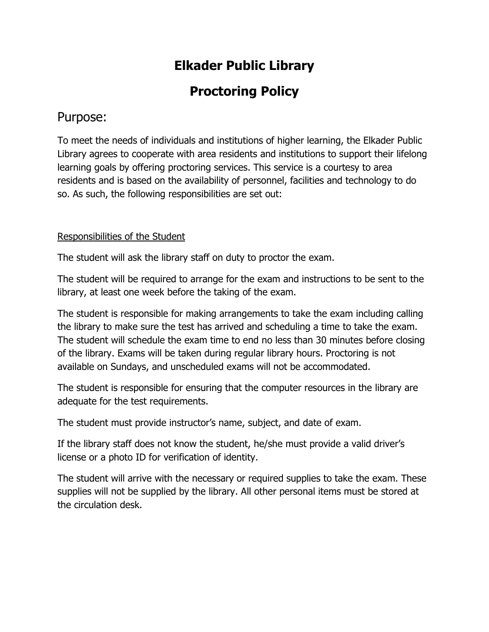## **Elkader Public Library**

# **Proctoring Policy**

### Purpose:

To meet the needs of individuals and institutions of higher learning, the Elkader Public Library agrees to cooperate with area residents and institutions to support their lifelong learning goals by offering proctoring services. This service is a courtesy to area residents and is based on the availability of personnel, facilities and technology to do so. As such, the following responsibilities are set out:

### Responsibilities of the Student

The student will ask the library staff on duty to proctor the exam.

The student will be required to arrange for the exam and instructions to be sent to the library, at least one week before the taking of the exam.

The student is responsible for making arrangements to take the exam including calling the library to make sure the test has arrived and scheduling a time to take the exam. The student will schedule the exam time to end no less than 30 minutes before closing of the library. Exams will be taken during regular library hours. Proctoring is not available on Sundays, and unscheduled exams will not be accommodated.

The student is responsible for ensuring that the computer resources in the library are adequate for the test requirements.

The student must provide instructor's name, subject, and date of exam.

If the library staff does not know the student, he/she must provide a valid driver's license or a photo ID for verification of identity.

The student will arrive with the necessary or required supplies to take the exam. These supplies will not be supplied by the library. All other personal items must be stored at the circulation desk.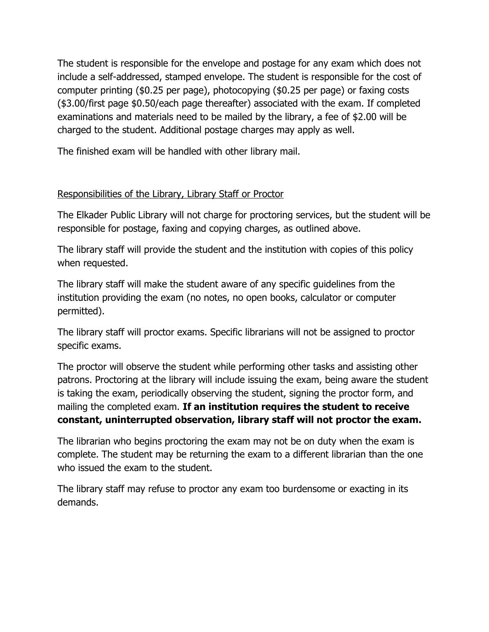The student is responsible for the envelope and postage for any exam which does not include a self-addressed, stamped envelope. The student is responsible for the cost of computer printing (\$0.25 per page), photocopying (\$0.25 per page) or faxing costs (\$3.00/first page \$0.50/each page thereafter) associated with the exam. If completed examinations and materials need to be mailed by the library, a fee of \$2.00 will be charged to the student. Additional postage charges may apply as well.

The finished exam will be handled with other library mail.

#### Responsibilities of the Library, Library Staff or Proctor

The Elkader Public Library will not charge for proctoring services, but the student will be responsible for postage, faxing and copying charges, as outlined above.

The library staff will provide the student and the institution with copies of this policy when requested.

The library staff will make the student aware of any specific guidelines from the institution providing the exam (no notes, no open books, calculator or computer permitted).

The library staff will proctor exams. Specific librarians will not be assigned to proctor specific exams.

The proctor will observe the student while performing other tasks and assisting other patrons. Proctoring at the library will include issuing the exam, being aware the student is taking the exam, periodically observing the student, signing the proctor form, and mailing the completed exam. **If an institution requires the student to receive constant, uninterrupted observation, library staff will not proctor the exam.**

The librarian who begins proctoring the exam may not be on duty when the exam is complete. The student may be returning the exam to a different librarian than the one who issued the exam to the student.

The library staff may refuse to proctor any exam too burdensome or exacting in its demands.